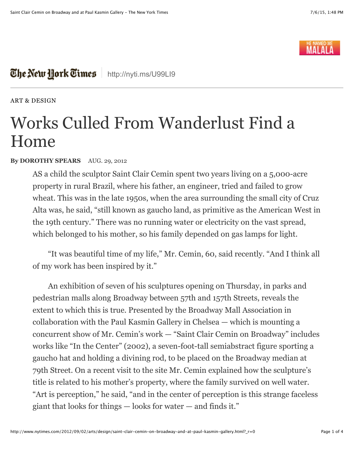

## The New Hork Times | <http://nyti.ms/U99LI9>

[ART & DESIGN](http://www.nytimes.com/pages/arts/design/index.html)

## Works Culled From Wanderlust Find a Home

## **By DOROTHY SPEARS** AUG. 29, 2012

AS a child the sculptor Saint Clair Cemin spent two years living on a 5,000-acre property in rural Brazil, where his father, an engineer, tried and failed to grow wheat. This was in the late 1950s, when the area surrounding the small city of Cruz Alta was, he said, "still known as gaucho land, as primitive as the American West in the 19th century." There was no running water or electricity on the vast spread, which belonged to his mother, so his family depended on gas lamps for light.

"It was beautiful time of my life," Mr. Cemin, 60, said recently. "And I think all of my work has been inspired by it."

An exhibition of seven of his sculptures opening on Thursday, in parks and pedestrian malls along Broadway between 57th and 157th Streets, reveals the extent to which this is true. Presented by the Broadway Mall Association in collaboration with the Paul Kasmin Gallery in Chelsea — which is mounting a concurrent show of Mr. Cemin's work — "Saint Clair Cemin on Broadway" includes works like "In the Center" (2002), a seven-foot-tall semiabstract figure sporting a gaucho hat and holding a divining rod, to be placed on the Broadway median at 79th Street. On a recent visit to the site Mr. Cemin explained how the sculpture's title is related to his mother's property, where the family survived on well water. "Art is perception," he said, "and in the center of perception is this strange faceless giant that looks for things — looks for water — and finds it."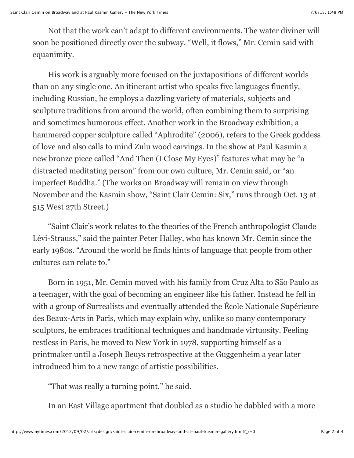Not that the work can't adapt to different environments. The water diviner will soon be positioned directly over the subway. "Well, it flows," Mr. Cemin said with equanimity.

His work is arguably more focused on the juxtapositions of different worlds than on any single one. An itinerant artist who speaks five languages fluently, including Russian, he employs a dazzling variety of materials, subjects and sculpture traditions from around the world, often combining them to surprising and sometimes humorous effect. Another work in the Broadway exhibition, a hammered copper sculpture called "Aphrodite" (2006), refers to the Greek goddess of love and also calls to mind Zulu wood carvings. In the show at Paul Kasmin a new bronze piece called "And Then (I Close My Eyes)" features what may be "a distracted meditating person" from our own culture, Mr. Cemin said, or "an imperfect Buddha." (The works on Broadway will remain on view through November and the Kasmin show, "Saint Clair Cemin: Six," runs through Oct. 13 at 515 West 27th Street.)

"Saint Clair's work relates to the theories of the French anthropologist Claude Lévi-Strauss," said the painter Peter Halley, who has known Mr. Cemin since the early 1980s. "Around the world he finds hints of language that people from other cultures can relate to."

Born in 1951, Mr. Cemin moved with his family from Cruz Alta to São Paulo as a teenager, with the goal of becoming an engineer like his father. Instead he fell in with a group of Surrealists and eventually attended the École Nationale Supérieure des Beaux-Arts in Paris, which may explain why, unlike so many contemporary sculptors, he embraces traditional techniques and handmade virtuosity. Feeling restless in Paris, he moved to New York in 1978, supporting himself as a printmaker until a Joseph Beuys retrospective at the Guggenheim a year later introduced him to a new range of artistic possibilities.

"That was really a turning point," he said.

In an East Village apartment that doubled as a studio he dabbled with a more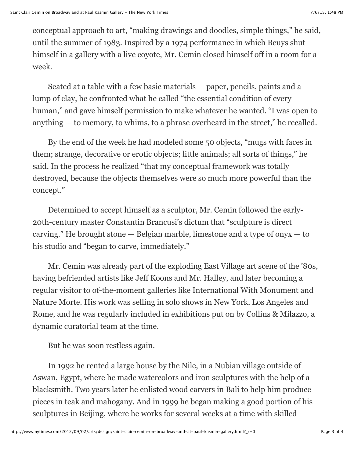conceptual approach to art, "making drawings and doodles, simple things," he said, until the summer of 1983. Inspired by a 1974 performance in which Beuys shut himself in a gallery with a live coyote, Mr. Cemin closed himself off in a room for a week.

Seated at a table with a few basic materials — paper, pencils, paints and a lump of clay, he confronted what he called "the essential condition of every human," and gave himself permission to make whatever he wanted. "I was open to anything — to memory, to whims, to a phrase overheard in the street," he recalled.

By the end of the week he had modeled some 50 objects, "mugs with faces in them; strange, decorative or erotic objects; little animals; all sorts of things," he said. In the process he realized "that my conceptual framework was totally destroyed, because the objects themselves were so much more powerful than the concept."

Determined to accept himself as a sculptor, Mr. Cemin followed the early-20th-century master Constantin Brancusi's dictum that "sculpture is direct carving." He brought stone  $-$  Belgian marble, limestone and a type of ony $x - t$ o his studio and "began to carve, immediately."

Mr. Cemin was already part of the exploding East Village art scene of the '80s, having befriended artists like Jeff Koons and Mr. Halley, and later becoming a regular visitor to of-the-moment galleries like International With Monument and Nature Morte. His work was selling in solo shows in New York, Los Angeles and Rome, and he was regularly included in exhibitions put on by Collins & Milazzo, a dynamic curatorial team at the time.

But he was soon restless again.

In 1992 he rented a large house by the Nile, in a Nubian village outside of Aswan, Egypt, where he made watercolors and iron sculptures with the help of a blacksmith. Two years later he enlisted wood carvers in Bali to help him produce pieces in teak and mahogany. And in 1999 he began making a good portion of his sculptures in Beijing, where he works for several weeks at a time with skilled